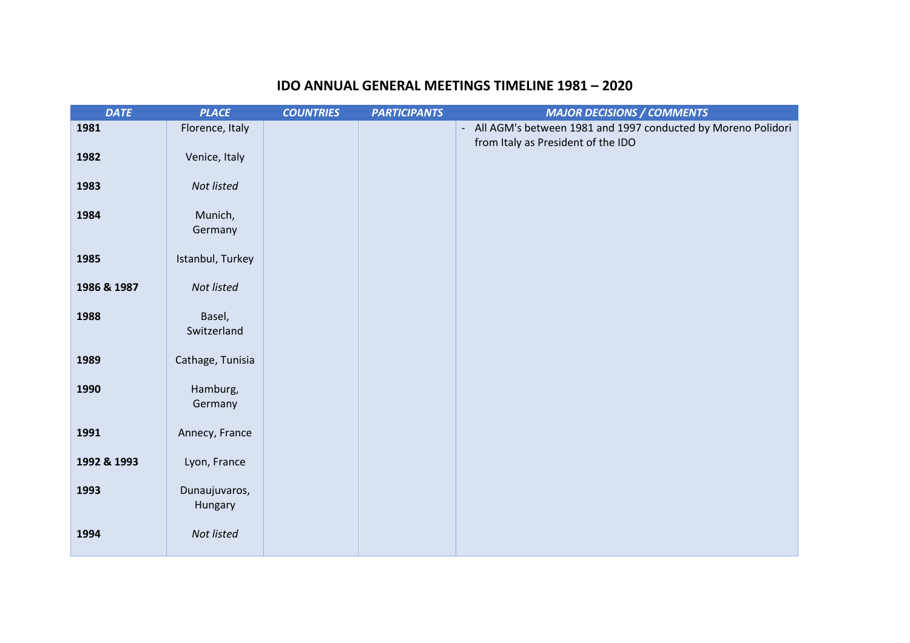## **IDO ANNUAL GENERAL MEETINGS TIMELINE 1981 – 2020**

| <b>DATE</b> | <b>PLACE</b>             | <b>COUNTRIES</b> | <b>PARTICIPANTS</b> | <b>MAJOR DECISIONS / COMMENTS</b>                              |
|-------------|--------------------------|------------------|---------------------|----------------------------------------------------------------|
| 1981        | Florence, Italy          |                  |                     | - All AGM's between 1981 and 1997 conducted by Moreno Polidori |
| 1982        | Venice, Italy            |                  |                     | from Italy as President of the IDO                             |
| 1983        | Not listed               |                  |                     |                                                                |
| 1984        | Munich,<br>Germany       |                  |                     |                                                                |
| 1985        | Istanbul, Turkey         |                  |                     |                                                                |
| 1986 & 1987 | Not listed               |                  |                     |                                                                |
| 1988        | Basel,<br>Switzerland    |                  |                     |                                                                |
| 1989        | Cathage, Tunisia         |                  |                     |                                                                |
| 1990        | Hamburg,<br>Germany      |                  |                     |                                                                |
| 1991        | Annecy, France           |                  |                     |                                                                |
| 1992 & 1993 | Lyon, France             |                  |                     |                                                                |
| 1993        | Dunaujuvaros,<br>Hungary |                  |                     |                                                                |
| 1994        | Not listed               |                  |                     |                                                                |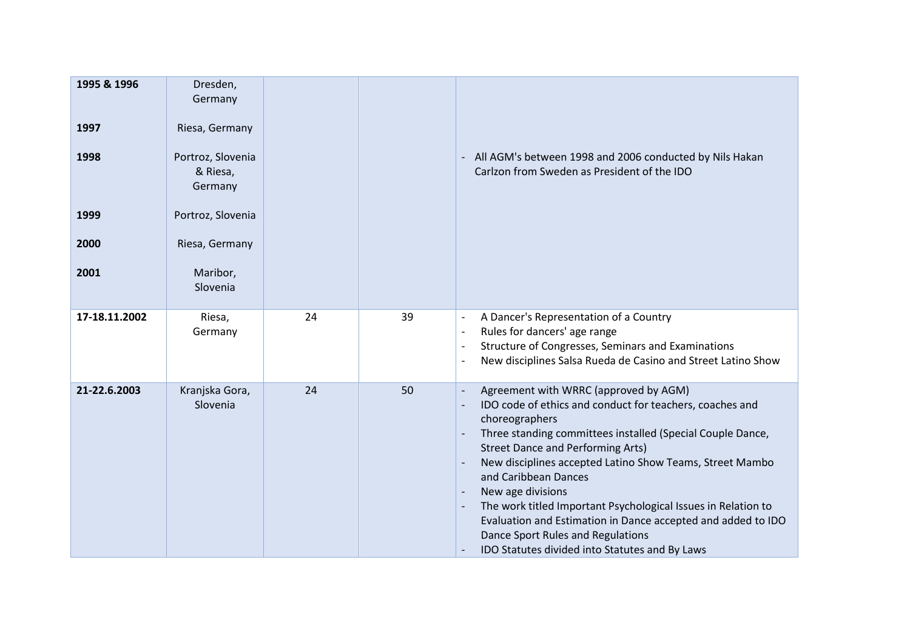| 1995 & 1996<br>1997<br>1998<br>1999<br>2000 | Dresden,<br>Germany<br>Riesa, Germany<br>Portroz, Slovenia<br>& Riesa,<br>Germany<br>Portroz, Slovenia<br>Riesa, Germany |    |    | All AGM's between 1998 and 2006 conducted by Nils Hakan<br>Carlzon from Sweden as President of the IDO                                                                                                                                                                                                                                                                                                                                                                                                                                                                                                                                                                         |
|---------------------------------------------|--------------------------------------------------------------------------------------------------------------------------|----|----|--------------------------------------------------------------------------------------------------------------------------------------------------------------------------------------------------------------------------------------------------------------------------------------------------------------------------------------------------------------------------------------------------------------------------------------------------------------------------------------------------------------------------------------------------------------------------------------------------------------------------------------------------------------------------------|
| 2001                                        | Maribor,<br>Slovenia                                                                                                     |    |    |                                                                                                                                                                                                                                                                                                                                                                                                                                                                                                                                                                                                                                                                                |
| 17-18.11.2002                               | Riesa,<br>Germany                                                                                                        | 24 | 39 | A Dancer's Representation of a Country<br>$\blacksquare$<br>Rules for dancers' age range<br>$\overline{\phantom{a}}$<br>Structure of Congresses, Seminars and Examinations<br>$\overline{\phantom{a}}$<br>New disciplines Salsa Rueda de Casino and Street Latino Show<br>$\overline{\phantom{a}}$                                                                                                                                                                                                                                                                                                                                                                             |
| 21-22.6.2003                                | Kranjska Gora,<br>Slovenia                                                                                               | 24 | 50 | Agreement with WRRC (approved by AGM)<br>$\overline{\phantom{a}}$<br>IDO code of ethics and conduct for teachers, coaches and<br>$\overline{\phantom{a}}$<br>choreographers<br>Three standing committees installed (Special Couple Dance,<br><b>Street Dance and Performing Arts)</b><br>New disciplines accepted Latino Show Teams, Street Mambo<br>$\overline{\phantom{a}}$<br>and Caribbean Dances<br>New age divisions<br>The work titled Important Psychological Issues in Relation to<br>$\overline{\phantom{a}}$<br>Evaluation and Estimation in Dance accepted and added to IDO<br>Dance Sport Rules and Regulations<br>IDO Statutes divided into Statutes and By Laws |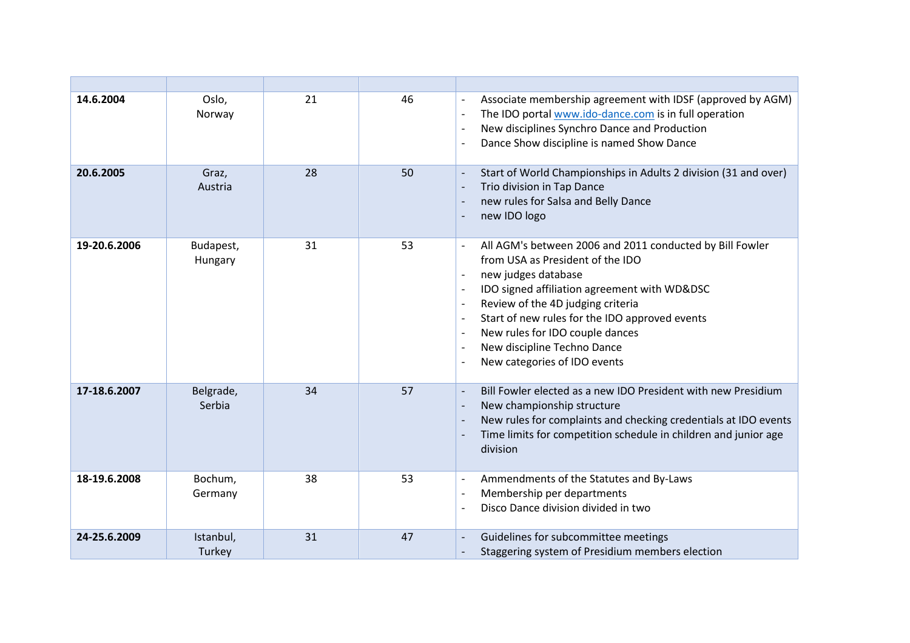| 14.6.2004    | Oslo,<br>Norway      | 21 | 46 | Associate membership agreement with IDSF (approved by AGM)<br>$\overline{\phantom{a}}$<br>The IDO portal www.ido-dance.com is in full operation<br>$\overline{\phantom{a}}$<br>New disciplines Synchro Dance and Production<br>$\overline{\phantom{a}}$<br>Dance Show discipline is named Show Dance                                                                                                                                                                                                                       |
|--------------|----------------------|----|----|----------------------------------------------------------------------------------------------------------------------------------------------------------------------------------------------------------------------------------------------------------------------------------------------------------------------------------------------------------------------------------------------------------------------------------------------------------------------------------------------------------------------------|
| 20.6.2005    | Graz,<br>Austria     | 28 | 50 | Start of World Championships in Adults 2 division (31 and over)<br>$\overline{\phantom{a}}$<br>Trio division in Tap Dance<br>$\overline{\phantom{a}}$<br>new rules for Salsa and Belly Dance<br>new IDO logo<br>$\overline{\phantom{a}}$                                                                                                                                                                                                                                                                                   |
| 19-20.6.2006 | Budapest,<br>Hungary | 31 | 53 | All AGM's between 2006 and 2011 conducted by Bill Fowler<br>from USA as President of the IDO<br>new judges database<br>IDO signed affiliation agreement with WD&DSC<br>$\overline{\phantom{a}}$<br>Review of the 4D judging criteria<br>$\overline{\phantom{a}}$<br>Start of new rules for the IDO approved events<br>$\overline{\phantom{a}}$<br>New rules for IDO couple dances<br>$\blacksquare$<br>New discipline Techno Dance<br>$\overline{\phantom{a}}$<br>New categories of IDO events<br>$\overline{\phantom{a}}$ |
| 17-18.6.2007 | Belgrade,<br>Serbia  | 34 | 57 | Bill Fowler elected as a new IDO President with new Presidium<br>$\overline{\phantom{a}}$<br>New championship structure<br>$\overline{\phantom{a}}$<br>New rules for complaints and checking credentials at IDO events<br>$\overline{\phantom{a}}$<br>Time limits for competition schedule in children and junior age<br>$\overline{\phantom{a}}$<br>division                                                                                                                                                              |
| 18-19.6.2008 | Bochum,<br>Germany   | 38 | 53 | Ammendments of the Statutes and By-Laws<br>$\overline{\phantom{a}}$<br>Membership per departments<br>$\overline{\phantom{a}}$<br>Disco Dance division divided in two<br>$\overline{\phantom{a}}$                                                                                                                                                                                                                                                                                                                           |
| 24-25.6.2009 | Istanbul,<br>Turkey  | 31 | 47 | Guidelines for subcommittee meetings<br>$\overline{\phantom{a}}$<br>Staggering system of Presidium members election<br>$\overline{\phantom{a}}$                                                                                                                                                                                                                                                                                                                                                                            |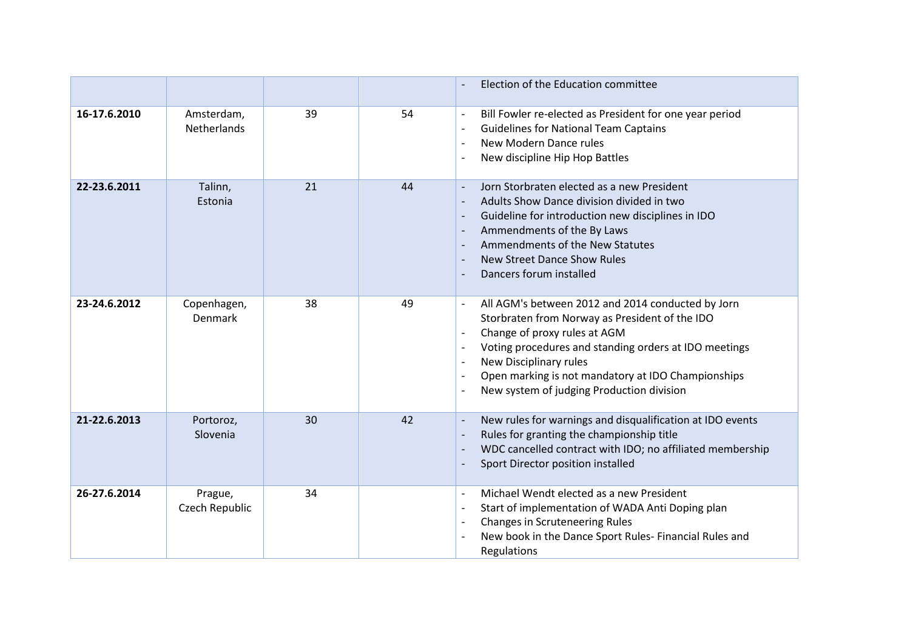|              |                                  |    |    | Election of the Education committee                                                                                                                                                                                                                                                                                                                                                                                                                                                               |
|--------------|----------------------------------|----|----|---------------------------------------------------------------------------------------------------------------------------------------------------------------------------------------------------------------------------------------------------------------------------------------------------------------------------------------------------------------------------------------------------------------------------------------------------------------------------------------------------|
| 16-17.6.2010 | Amsterdam,<br><b>Netherlands</b> | 39 | 54 | Bill Fowler re-elected as President for one year period<br>$\overline{\phantom{a}}$<br><b>Guidelines for National Team Captains</b><br>$\overline{\phantom{a}}$<br>New Modern Dance rules<br>$\overline{\phantom{a}}$<br>New discipline Hip Hop Battles                                                                                                                                                                                                                                           |
| 22-23.6.2011 | Talinn,<br>Estonia               | 21 | 44 | Jorn Storbraten elected as a new President<br>$\overline{\phantom{a}}$<br>Adults Show Dance division divided in two<br>$\overline{\phantom{a}}$<br>Guideline for introduction new disciplines in IDO<br>$\overline{\phantom{a}}$<br>Ammendments of the By Laws<br>$\overline{\phantom{a}}$<br>Ammendments of the New Statutes<br><b>New Street Dance Show Rules</b><br>$\overline{\phantom{a}}$<br>Dancers forum installed<br>$\overline{\phantom{a}}$                                            |
| 23-24.6.2012 | Copenhagen,<br>Denmark           | 38 | 49 | All AGM's between 2012 and 2014 conducted by Jorn<br>$\overline{\phantom{a}}$<br>Storbraten from Norway as President of the IDO<br>Change of proxy rules at AGM<br>$\overline{\phantom{a}}$<br>Voting procedures and standing orders at IDO meetings<br>$\overline{\phantom{a}}$<br>New Disciplinary rules<br>$\overline{\phantom{a}}$<br>Open marking is not mandatory at IDO Championships<br>$\overline{\phantom{a}}$<br>New system of judging Production division<br>$\overline{\phantom{a}}$ |
| 21-22.6.2013 | Portoroz,<br>Slovenia            | 30 | 42 | New rules for warnings and disqualification at IDO events<br>$\overline{\phantom{a}}$<br>Rules for granting the championship title<br>$\overline{\phantom{a}}$<br>WDC cancelled contract with IDO; no affiliated membership<br>$\overline{\phantom{a}}$<br>Sport Director position installed<br>$\overline{\phantom{a}}$                                                                                                                                                                          |
| 26-27.6.2014 | Prague,<br>Czech Republic        | 34 |    | Michael Wendt elected as a new President<br>$\overline{\phantom{a}}$<br>Start of implementation of WADA Anti Doping plan<br>$\overline{\phantom{a}}$<br><b>Changes in Scruteneering Rules</b><br>$\overline{\phantom{a}}$<br>New book in the Dance Sport Rules- Financial Rules and<br>Regulations                                                                                                                                                                                                |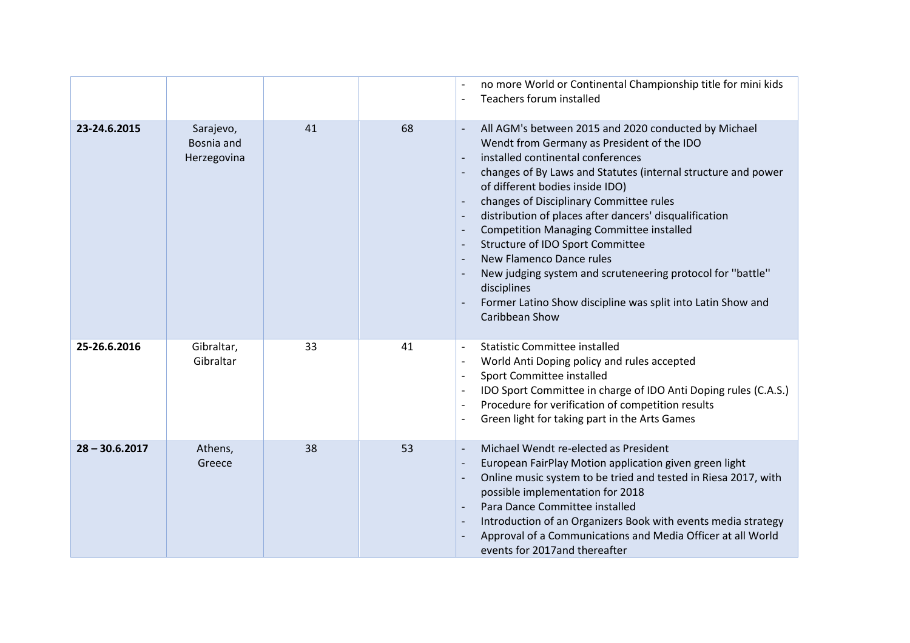|                  |                                        |    |    | no more World or Continental Championship title for mini kids<br>Teachers forum installed<br>$\overline{\phantom{a}}$                                                                                                                                                                                                                                                                                                                                                                                                                                                                                                                                                                                                                             |
|------------------|----------------------------------------|----|----|---------------------------------------------------------------------------------------------------------------------------------------------------------------------------------------------------------------------------------------------------------------------------------------------------------------------------------------------------------------------------------------------------------------------------------------------------------------------------------------------------------------------------------------------------------------------------------------------------------------------------------------------------------------------------------------------------------------------------------------------------|
| 23-24.6.2015     | Sarajevo,<br>Bosnia and<br>Herzegovina | 41 | 68 | All AGM's between 2015 and 2020 conducted by Michael<br>$\overline{\phantom{a}}$<br>Wendt from Germany as President of the IDO<br>installed continental conferences<br>$\overline{\phantom{a}}$<br>changes of By Laws and Statutes (internal structure and power<br>of different bodies inside IDO)<br>changes of Disciplinary Committee rules<br>distribution of places after dancers' disqualification<br>$\overline{\phantom{a}}$<br><b>Competition Managing Committee installed</b><br>$\overline{\phantom{a}}$<br>Structure of IDO Sport Committee<br>New Flamenco Dance rules<br>New judging system and scruteneering protocol for "battle"<br>disciplines<br>Former Latino Show discipline was split into Latin Show and<br>Caribbean Show |
| 25-26.6.2016     | Gibraltar,<br>Gibraltar                | 33 | 41 | <b>Statistic Committee installed</b><br>$\overline{\phantom{a}}$<br>World Anti Doping policy and rules accepted<br>$\overline{\phantom{a}}$<br>Sport Committee installed<br>$\overline{\phantom{a}}$<br>IDO Sport Committee in charge of IDO Anti Doping rules (C.A.S.)<br>$\overline{\phantom{a}}$<br>Procedure for verification of competition results<br>$\overline{\phantom{a}}$<br>Green light for taking part in the Arts Games<br>$\overline{\phantom{a}}$                                                                                                                                                                                                                                                                                 |
| $28 - 30.6.2017$ | Athens,<br>Greece                      | 38 | 53 | Michael Wendt re-elected as President<br>$\overline{\phantom{a}}$<br>European FairPlay Motion application given green light<br>Online music system to be tried and tested in Riesa 2017, with<br>$\overline{\phantom{a}}$<br>possible implementation for 2018<br>Para Dance Committee installed<br>$\overline{\phantom{a}}$<br>Introduction of an Organizers Book with events media strategy<br>$\overline{\phantom{a}}$<br>Approval of a Communications and Media Officer at all World<br>events for 2017 and thereafter                                                                                                                                                                                                                         |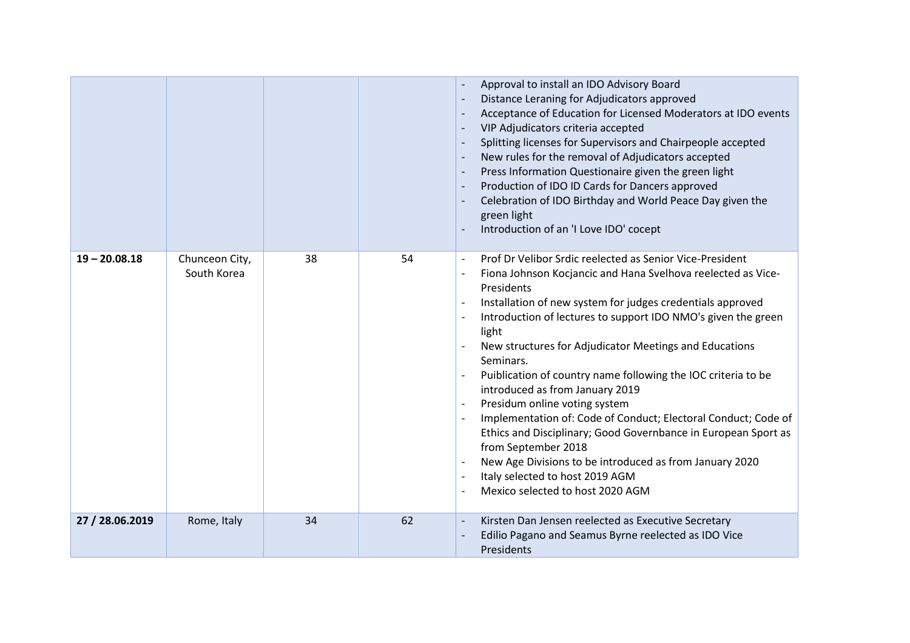|                 |                               |    |    | Approval to install an IDO Advisory Board<br>Distance Leraning for Adjudicators approved<br>Acceptance of Education for Licensed Moderators at IDO events<br>VIP Adjudicators criteria accepted<br>Splitting licenses for Supervisors and Chairpeople accepted<br>New rules for the removal of Adjudicators accepted<br>Press Information Questionaire given the green light<br>Production of IDO ID Cards for Dancers approved<br>Celebration of IDO Birthday and World Peace Day given the<br>green light<br>Introduction of an 'I Love IDO' cocept                                                                                                                                                                                                                                                                                                                                                                               |
|-----------------|-------------------------------|----|----|-------------------------------------------------------------------------------------------------------------------------------------------------------------------------------------------------------------------------------------------------------------------------------------------------------------------------------------------------------------------------------------------------------------------------------------------------------------------------------------------------------------------------------------------------------------------------------------------------------------------------------------------------------------------------------------------------------------------------------------------------------------------------------------------------------------------------------------------------------------------------------------------------------------------------------------|
| $19 - 20.08.18$ | Chunceon City,<br>South Korea | 38 | 54 | Prof Dr Velibor Srdic reelected as Senior Vice-President<br>$\overline{\phantom{a}}$<br>Fiona Johnson Kocjancic and Hana Svelhova reelected as Vice-<br>Presidents<br>Installation of new system for judges credentials approved<br>$\overline{\phantom{a}}$<br>Introduction of lectures to support IDO NMO's given the green<br>$\overline{\phantom{a}}$<br>light<br>New structures for Adjudicator Meetings and Educations<br>Seminars.<br>Puiblication of country name following the IOC criteria to be<br>introduced as from January 2019<br>Presidum online voting system<br>Implementation of: Code of Conduct; Electoral Conduct; Code of<br>$\overline{\phantom{a}}$<br>Ethics and Disciplinary; Good Governbance in European Sport as<br>from September 2018<br>New Age Divisions to be introduced as from January 2020<br>Italy selected to host 2019 AGM<br>$\overline{\phantom{a}}$<br>Mexico selected to host 2020 AGM |
| 27 / 28.06.2019 | Rome, Italy                   | 34 | 62 | Kirsten Dan Jensen reelected as Executive Secretary<br>$\overline{\phantom{a}}$<br>Edilio Pagano and Seamus Byrne reelected as IDO Vice<br>Presidents                                                                                                                                                                                                                                                                                                                                                                                                                                                                                                                                                                                                                                                                                                                                                                               |